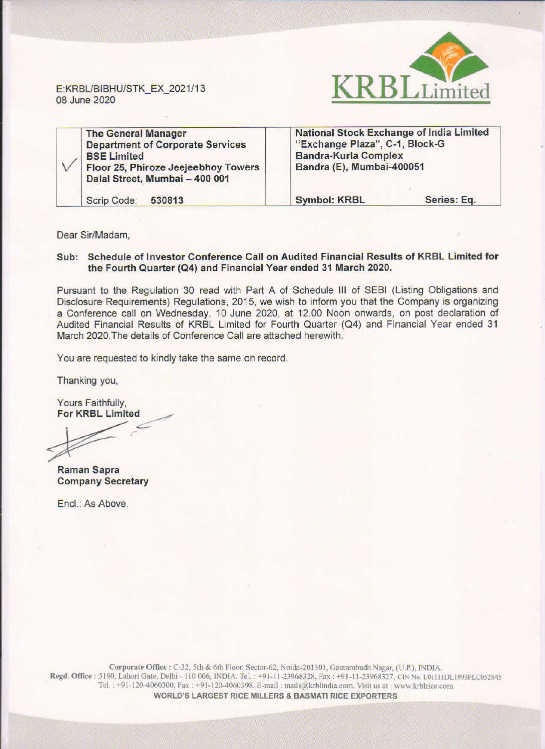

E:KRBL/BIBHU/STK\_EX\_2021/13 08 June 2020

| <b>The General Manager</b><br><b>Department of Corporate Services</b>                       | <b>National Stock Exchange of India Limited</b><br>"Exchange Plaza", C-1, Block-G |             |
|---------------------------------------------------------------------------------------------|-----------------------------------------------------------------------------------|-------------|
| <b>BSE Limited</b><br>Floor 25, Phiroze Jeejeebhoy Towers<br>Dalal Street, Mumbai - 400 001 | <b>Bandra-Kurla Complex</b><br>Bandra (E), Mumbai-400051                          |             |
| Scrip Code:<br>530813                                                                       | <b>Symbol: KRBL</b>                                                               | Series: Eq. |

Dear Sir/Madam,

## Sub: Schedule of Investor Conference Call on Audited Financial Results of KRBL Limited for the Fourth Quarter (Q4) and Financial Year ended 31 March 2020.

Pursuant to the Regulation 30 read with Part A of Schedule Ill of SEBI (Listing Obligations and Disclosure Requirements) Regulations, 2015, we wish to inform you that the Company is organizing a Conference call on Wednesday, 10 June 2020, at 12.00 Noon onwards, on post declaration of Audited Financial Results of KRBL Limited for Fourth Quarter (Q4) and Financial Year ended 31 March 2020.The details of Conference Call are attached herewith.

You are requested to kindly take the same on record.

Thanking you,

Yours Faithfully, For KRBL Limited

Raman Sapra Company Secretary

Encl.: As Above.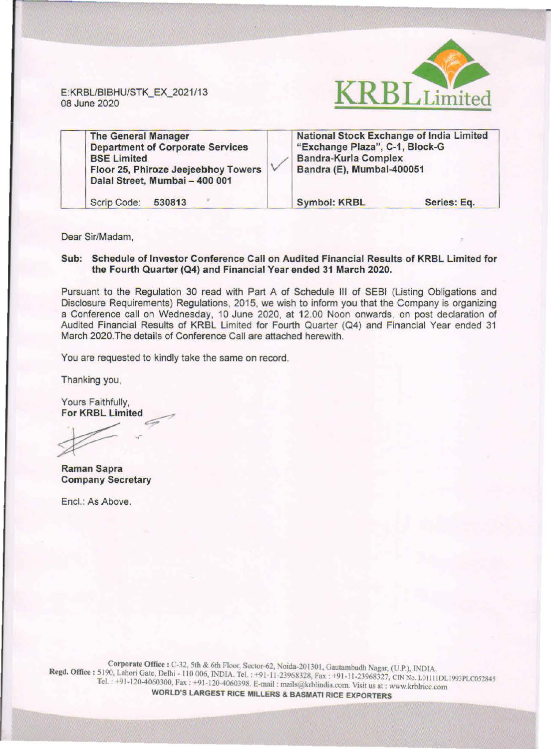E:KRBUBIBHU/STK\_EX\_2021/13 08 June 2020



| <b>The General Manager</b><br><b>Department of Corporate Services</b><br><b>BSE Limited</b><br>Floor 25, Phiroze Jeejeebhoy Towers<br>Dalal Street, Mumbai - 400 001 | <b>National Stock Exchange of India Limited</b><br>"Exchange Plaza", C-1, Block-G<br><b>Bandra-Kurla Complex</b><br>Bandra (E), Mumbai-400051 |             |
|----------------------------------------------------------------------------------------------------------------------------------------------------------------------|-----------------------------------------------------------------------------------------------------------------------------------------------|-------------|
| Scrip Code:<br>530813                                                                                                                                                | <b>Symbol: KRBL</b>                                                                                                                           | Series: Eq. |

Dear Sir/Madam,

## Sub: Schedule of Investor Conference Call on Audited Financial Results of KRBL Limited for the Fourth Quarter {Q4) and Financial Year ended 31 March 2020.

Pursuant to the Regulation 30 read with Part A of Schedule Ill of SEBI (Listing Obligations and Disclosure Requirements) Regulations, 2015, we wish to inform you that the Company is organizing a Conference call on Wednesday, 10 June 2020, at 12.00 Noon onwards, on post declaration of Audited Financial Results of KRBL Limited for Fourth Quarter (04) and Financial Year ended 31 March 2020.The details of Conference Call are attached herewith.

You are requested to kindly take the same on record.

Thanking you,

Yours Faithfully,  $\sum$  mited

Raman Sapra Company Secretary

Encl.: As Above.